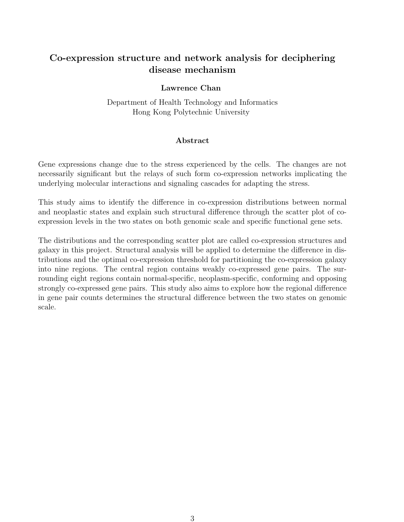# Co-expression structure and network analysis for deciphering disease mechanism

## Lawrence Chan

Department of Health Technology and Informatics Hong Kong Polytechnic University

## Abstract

Gene expressions change due to the stress experienced by the cells. The changes are not necessarily significant but the relays of such form co-expression networks implicating the underlying molecular interactions and signaling cascades for adapting the stress.

This study aims to identify the difference in co-expression distributions between normal and neoplastic states and explain such structural difference through the scatter plot of coexpression levels in the two states on both genomic scale and specific functional gene sets.

The distributions and the corresponding scatter plot are called co-expression structures and galaxy in this project. Structural analysis will be applied to determine the difference in distributions and the optimal co-expression threshold for partitioning the co-expression galaxy into nine regions. The central region contains weakly co-expressed gene pairs. The surrounding eight regions contain normal-specific, neoplasm-specific, conforming and opposing strongly co-expressed gene pairs. This study also aims to explore how the regional difference in gene pair counts determines the structural difference between the two states on genomic scale.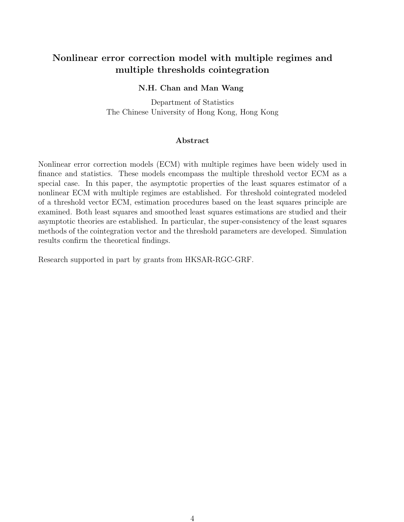# Nonlinear error correction model with multiple regimes and multiple thresholds cointegration

## N.H. Chan and Man Wang

Department of Statistics The Chinese University of Hong Kong, Hong Kong

## Abstract

Nonlinear error correction models (ECM) with multiple regimes have been widely used in finance and statistics. These models encompass the multiple threshold vector ECM as a special case. In this paper, the asymptotic properties of the least squares estimator of a nonlinear ECM with multiple regimes are established. For threshold cointegrated modeled of a threshold vector ECM, estimation procedures based on the least squares principle are examined. Both least squares and smoothed least squares estimations are studied and their asymptotic theories are established. In particular, the super-consistency of the least squares methods of the cointegration vector and the threshold parameters are developed. Simulation results confirm the theoretical findings.

Research supported in part by grants from HKSAR-RGC-GRF.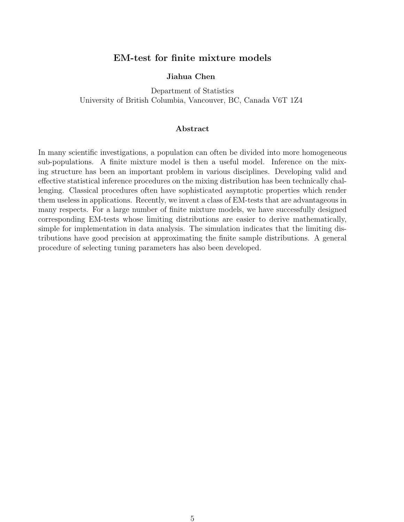## EM-test for finite mixture models

### Jiahua Chen

Department of Statistics University of British Columbia, Vancouver, BC, Canada V6T 1Z4

#### Abstract

In many scientific investigations, a population can often be divided into more homogeneous sub-populations. A finite mixture model is then a useful model. Inference on the mixing structure has been an important problem in various disciplines. Developing valid and effective statistical inference procedures on the mixing distribution has been technically challenging. Classical procedures often have sophisticated asymptotic properties which render them useless in applications. Recently, we invent a class of EM-tests that are advantageous in many respects. For a large number of finite mixture models, we have successfully designed corresponding EM-tests whose limiting distributions are easier to derive mathematically, simple for implementation in data analysis. The simulation indicates that the limiting distributions have good precision at approximating the finite sample distributions. A general procedure of selecting tuning parameters has also been developed.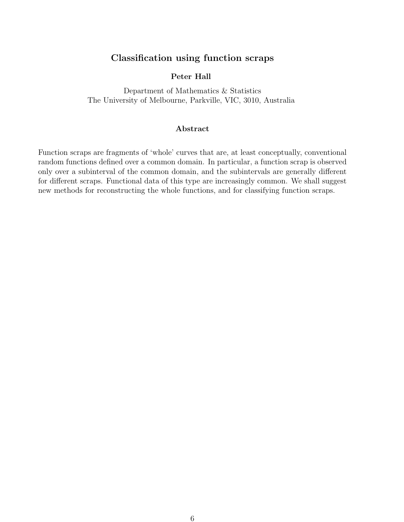# Classification using function scraps

## Peter Hall

Department of Mathematics & Statistics The University of Melbourne, Parkville, VIC, 3010, Australia

## Abstract

Function scraps are fragments of 'whole' curves that are, at least conceptually, conventional random functions defined over a common domain. In particular, a function scrap is observed only over a subinterval of the common domain, and the subintervals are generally different for different scraps. Functional data of this type are increasingly common. We shall suggest new methods for reconstructing the whole functions, and for classifying function scraps.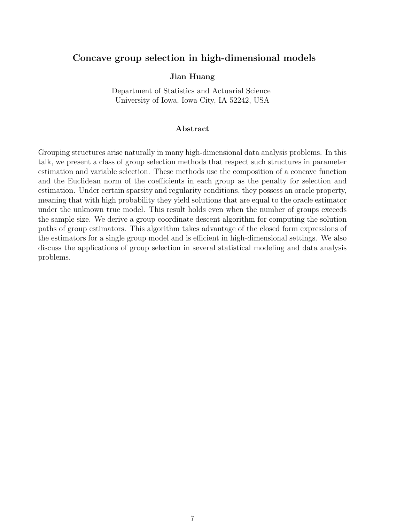## Concave group selection in high-dimensional models

## Jian Huang

Department of Statistics and Actuarial Science University of Iowa, Iowa City, IA 52242, USA

#### Abstract

Grouping structures arise naturally in many high-dimensional data analysis problems. In this talk, we present a class of group selection methods that respect such structures in parameter estimation and variable selection. These methods use the composition of a concave function and the Euclidean norm of the coefficients in each group as the penalty for selection and estimation. Under certain sparsity and regularity conditions, they possess an oracle property, meaning that with high probability they yield solutions that are equal to the oracle estimator under the unknown true model. This result holds even when the number of groups exceeds the sample size. We derive a group coordinate descent algorithm for computing the solution paths of group estimators. This algorithm takes advantage of the closed form expressions of the estimators for a single group model and is efficient in high-dimensional settings. We also discuss the applications of group selection in several statistical modeling and data analysis problems.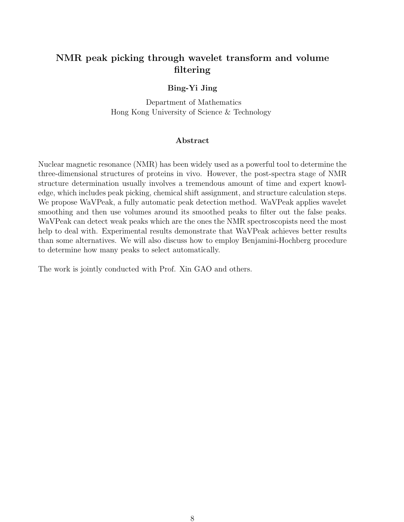# NMR peak picking through wavelet transform and volume filtering

## Bing-Yi Jing

Department of Mathematics Hong Kong University of Science & Technology

### Abstract

Nuclear magnetic resonance (NMR) has been widely used as a powerful tool to determine the three-dimensional structures of proteins in vivo. However, the post-spectra stage of NMR structure determination usually involves a tremendous amount of time and expert knowledge, which includes peak picking, chemical shift assignment, and structure calculation steps. We propose WaVPeak, a fully automatic peak detection method. WaVPeak applies wavelet smoothing and then use volumes around its smoothed peaks to filter out the false peaks. WaVPeak can detect weak peaks which are the ones the NMR spectroscopists need the most help to deal with. Experimental results demonstrate that WaVPeak achieves better results than some alternatives. We will also discuss how to employ Benjamini-Hochberg procedure to determine how many peaks to select automatically.

The work is jointly conducted with Prof. Xin GAO and others.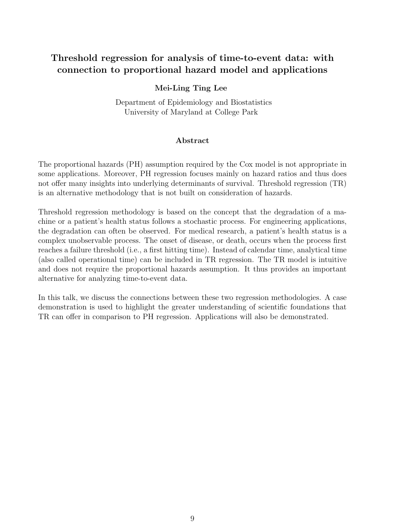# Threshold regression for analysis of time-to-event data: with connection to proportional hazard model and applications

## Mei-Ling Ting Lee

Department of Epidemiology and Biostatistics University of Maryland at College Park

### Abstract

The proportional hazards (PH) assumption required by the Cox model is not appropriate in some applications. Moreover, PH regression focuses mainly on hazard ratios and thus does not offer many insights into underlying determinants of survival. Threshold regression (TR) is an alternative methodology that is not built on consideration of hazards.

Threshold regression methodology is based on the concept that the degradation of a machine or a patient's health status follows a stochastic process. For engineering applications, the degradation can often be observed. For medical research, a patient's health status is a complex unobservable process. The onset of disease, or death, occurs when the process first reaches a failure threshold (i.e., a first hitting time). Instead of calendar time, analytical time (also called operational time) can be included in TR regression. The TR model is intuitive and does not require the proportional hazards assumption. It thus provides an important alternative for analyzing time-to-event data.

In this talk, we discuss the connections between these two regression methodologies. A case demonstration is used to highlight the greater understanding of scientific foundations that TR can offer in comparison to PH regression. Applications will also be demonstrated.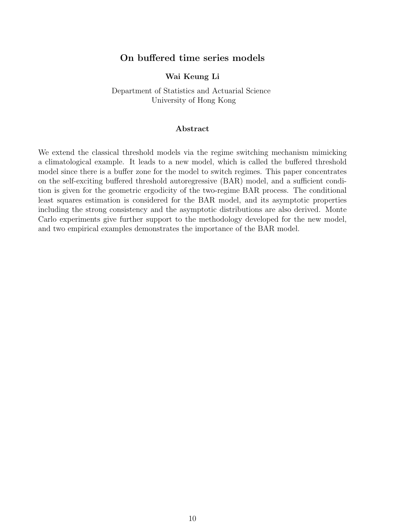## On buffered time series models

## Wai Keung Li

Department of Statistics and Actuarial Science University of Hong Kong

#### Abstract

We extend the classical threshold models via the regime switching mechanism mimicking a climatological example. It leads to a new model, which is called the buffered threshold model since there is a buffer zone for the model to switch regimes. This paper concentrates on the self-exciting buffered threshold autoregressive (BAR) model, and a sufficient condition is given for the geometric ergodicity of the two-regime BAR process. The conditional least squares estimation is considered for the BAR model, and its asymptotic properties including the strong consistency and the asymptotic distributions are also derived. Monte Carlo experiments give further support to the methodology developed for the new model, and two empirical examples demonstrates the importance of the BAR model.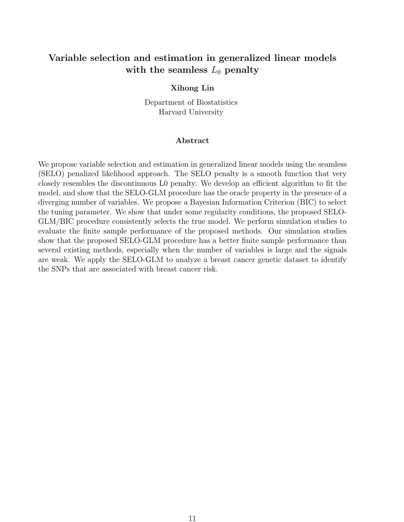# Variable selection and estimation in generalized linear models with the seamless  $L_0$  penalty

## Xihong Lin

Department of Biostatistics Harvard University

#### Abstract

We propose variable selection and estimation in generalized linear models using the seamless (SELO) penalized likelihood approach. The SELO penalty is a smooth function that very closely resembles the discontinuous L0 penalty. We develop an efficient algorithm to fit the model, and show that the SELO-GLM procedure has the oracle property in the presence of a diverging number of variables. We propose a Bayesian Information Criterion (BIC) to select the tuning parameter. We show that under some regularity conditions, the proposed SELO-GLM/BIC procedure consistently selects the true model. We perform simulation studies to evaluate the finite sample performance of the proposed methods. Our simulation studies show that the proposed SELO-GLM procedure has a better finite sample performance than several existing methods, especially when the number of variables is large and the signals are weak. We apply the SELO-GLM to analyze a breast cancer genetic dataset to identify the SNPs that are associated with breast cancer risk.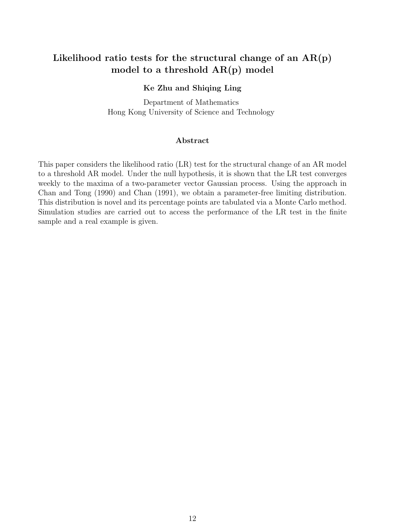# Likelihood ratio tests for the structural change of an  $AR(p)$ model to a threshold AR(p) model

## Ke Zhu and Shiqing Ling

Department of Mathematics Hong Kong University of Science and Technology

## Abstract

This paper considers the likelihood ratio (LR) test for the structural change of an AR model to a threshold AR model. Under the null hypothesis, it is shown that the LR test converges weekly to the maxima of a two-parameter vector Gaussian process. Using the approach in Chan and Tong (1990) and Chan (1991), we obtain a parameter-free limiting distribution. This distribution is novel and its percentage points are tabulated via a Monte Carlo method. Simulation studies are carried out to access the performance of the LR test in the finite sample and a real example is given.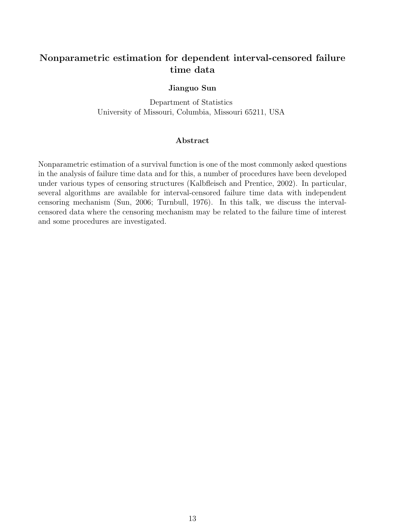# Nonparametric estimation for dependent interval-censored failure time data

### Jianguo Sun

Department of Statistics University of Missouri, Columbia, Missouri 65211, USA

## Abstract

Nonparametric estimation of a survival function is one of the most commonly asked questions in the analysis of failure time data and for this, a number of procedures have been developed under various types of censoring structures (Kalbfleisch and Prentice, 2002). In particular, several algorithms are available for interval-censored failure time data with independent censoring mechanism (Sun, 2006; Turnbull, 1976). In this talk, we discuss the intervalcensored data where the censoring mechanism may be related to the failure time of interest and some procedures are investigated.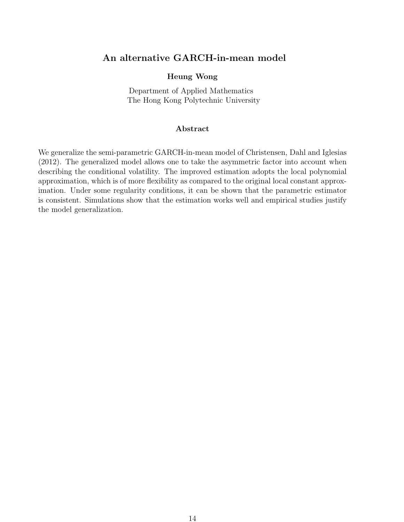## An alternative GARCH-in-mean model

## Heung Wong

Department of Applied Mathematics The Hong Kong Polytechnic University

## Abstract

We generalize the semi-parametric GARCH-in-mean model of Christensen, Dahl and Iglesias (2012). The generalized model allows one to take the asymmetric factor into account when describing the conditional volatility. The improved estimation adopts the local polynomial approximation, which is of more flexibility as compared to the original local constant approximation. Under some regularity conditions, it can be shown that the parametric estimator is consistent. Simulations show that the estimation works well and empirical studies justify the model generalization.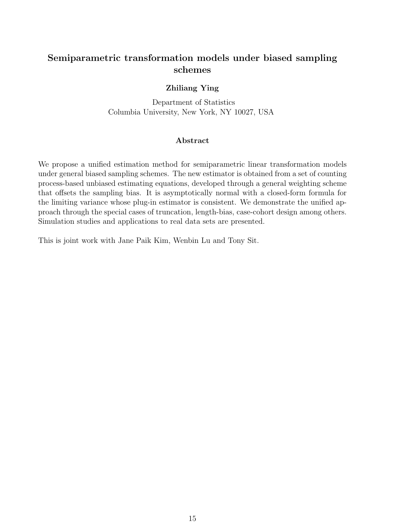# Semiparametric transformation models under biased sampling schemes

## Zhiliang Ying

Department of Statistics Columbia University, New York, NY 10027, USA

## Abstract

We propose a unified estimation method for semiparametric linear transformation models under general biased sampling schemes. The new estimator is obtained from a set of counting process-based unbiased estimating equations, developed through a general weighting scheme that offsets the sampling bias. It is asymptotically normal with a closed-form formula for the limiting variance whose plug-in estimator is consistent. We demonstrate the unified approach through the special cases of truncation, length-bias, case-cohort design among others. Simulation studies and applications to real data sets are presented.

This is joint work with Jane Paik Kim, Wenbin Lu and Tony Sit.